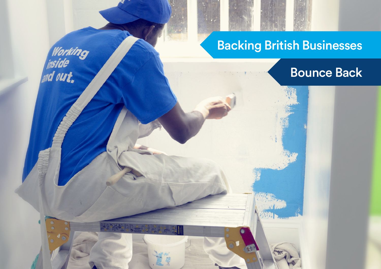## Backing British Businesses

Working<br>|<sub>|II</sub>side<br><sub>||II</sub>d out,

## Bounce Back